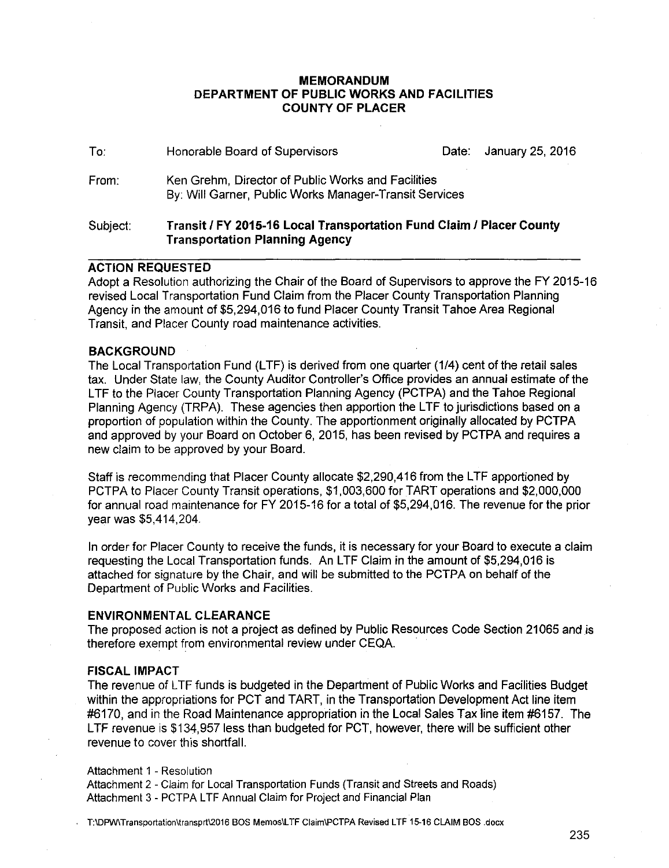### **MEMORANDUM DEPARTMENT OF PUBLIC WORKS AND FACILITIES COUNTY OF PLACER**

| Subject: | Transit / FY 2015-16 Local Transportation Fund Claim / Placer County                                         |  |                        |  |  |
|----------|--------------------------------------------------------------------------------------------------------------|--|------------------------|--|--|
| From:    | Ken Grehm, Director of Public Works and Facilities<br>By: Will Garner, Public Works Manager-Transit Services |  |                        |  |  |
| To:      | Honorable Board of Supervisors                                                                               |  | Date: January 25, 2016 |  |  |

## **Transportation Planning Agency**

## **ACTION REQUESTED**

Adopt a Resolution authorizing the Chair of the Board of Supervisors to approve the FY 2015-16 revised Local Transportation Fund Claim from the Placer County Transportation Planning Agency in the amount of \$5,294,016 to fund Placer County Transit Tahoe Area Regional Transit, and Placer County road maintenance activities.

### **BACKGROUND**

The Local Transportation Fund (LTF) is derived from one quarter (1/4) cent of the retail sales tax. Under State law, the County Auditor Controller's Office provides an annual estimate of the LTF to the Placer County Transportation Planning Agency (PCTPA) and the Tahoe Regional Planning Agency (TRPA). These agencies then apportion the LTF to jurisdictions based on a proportion of population within the County. The apportionment originally allocated by PCTPA and approved by your Board on October 6, 2015, has been revised by PCTPA and requires a new claim to be approved by your Board.

Staff is recommending that Placer County allocate \$2,290,416 from the LTF apportioned by PCTPA to Placer County Transit operations, \$1,003,600 for TART operations and \$2,000,000 for annual road maintenance for FY 2015-16 for a total of \$5,294,016. The revenue for the prior year was \$5,414,204.

In order for Placer County to receive the funds, it is necessary for your Board to execute a claim requesting the Local Transportation funds. An LTF Claim in the amount of \$5,294,016 is attached for signature by the Chair, and will be submitted to the PCTPA on behalf of the Department of Public Works and Facilities.

### **ENVIRONMENTAL CLEARANCE**

The proposed action is not a project as defined by Public Resources Code Section 21065 and is therefore exempt from environmental review under CEQA.

### **FISCAL IMPACT**

The revenue of L TF funds is budgeted in the Department of Public Works and Facilities Budget within the appropriations for PCT and TART, in the Transportation Development Act line item #6170, and in the Road Maintenance appropriation in the Local Sales Tax line item #6157. The LTF revenue is \$134,957 less than budgeted for PCT, however, there will be sufficient other revenue to cover this shortfall.

### Attachment 1 - Resolution

Attachment 2 - Claim for Local Transportation Funds (Transit and Streets and Roads) Attachment 3 - PCTPA LTF Annual Claim for Project and Financial Plan

T:\DPW\Transportation\transprt\2016 BOS Memos\LTF Claim\PCTPA Revised L TF 15-16 CLAIM BOS .docx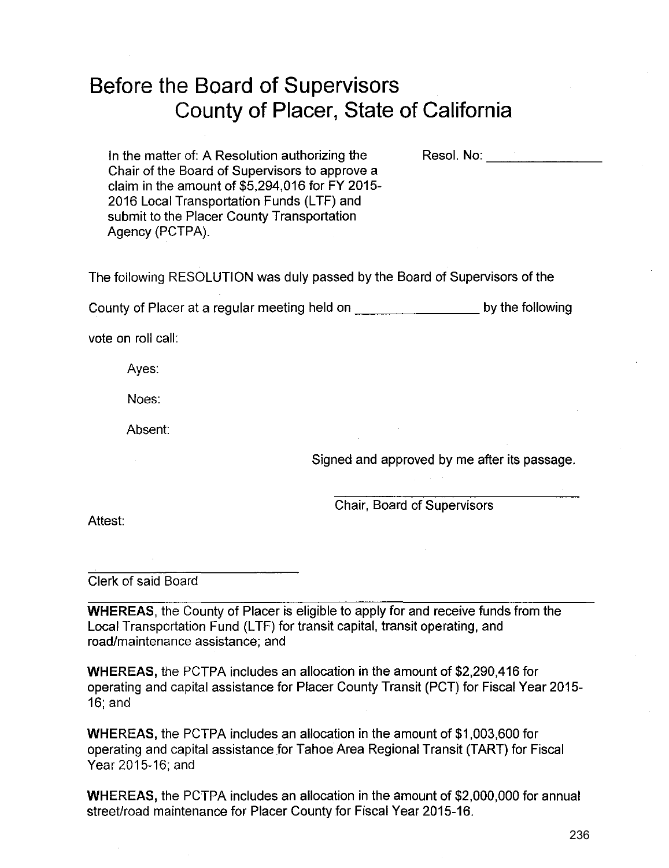# Before the Board of Supervisors County of Placer, State of California

Resol. No: **with a set of the set of the set of the set of the set of the set of the set of the set of the set o** 

In the matter of: A Resolution authorizing the Chair of the Board of Supervisors to approve a claim in the amount of \$5,294,016 for FY 2015- 2016 Local Transportation Funds (LTF) and submit to the Placer County Transportation Agency (PCTPA).

The following RESOLUTION was duly passed by the Board of Supervisors of the

County of Placer at a regular meeting held on \_\_\_\_\_\_\_ by the following

vote on roll call:

Ayes:

Noes:

Absent:

Signed and approved by me after its passage.

Chair, Board of Supervisors

Attest:

Clerk of said Board

WHEREAS, the County of Placer is eligible to apply for and receive funds from the Local Transportation Fund (LTF) for transit capital, transit operating, and road/maintenance assistance; and

WHEREAS, the PCTPA includes an allocation in the amount of \$2,290,416 for operating and capital assistance for Placer County Transit (PCT) for Fiscal Year 2015- 16; and

WHEREAS, the PCTPA includes an allocation in the amount of \$1,003,600 for operating and capital assistance for Tahoe Area Regional Transit (TART) for Fiscal Year 2015-16; and

WHEREAS, the PCTPA includes an allocation in the amount of \$2,000,000 for annual street/road maintenance for Placer County for Fiscal Year 2015-16.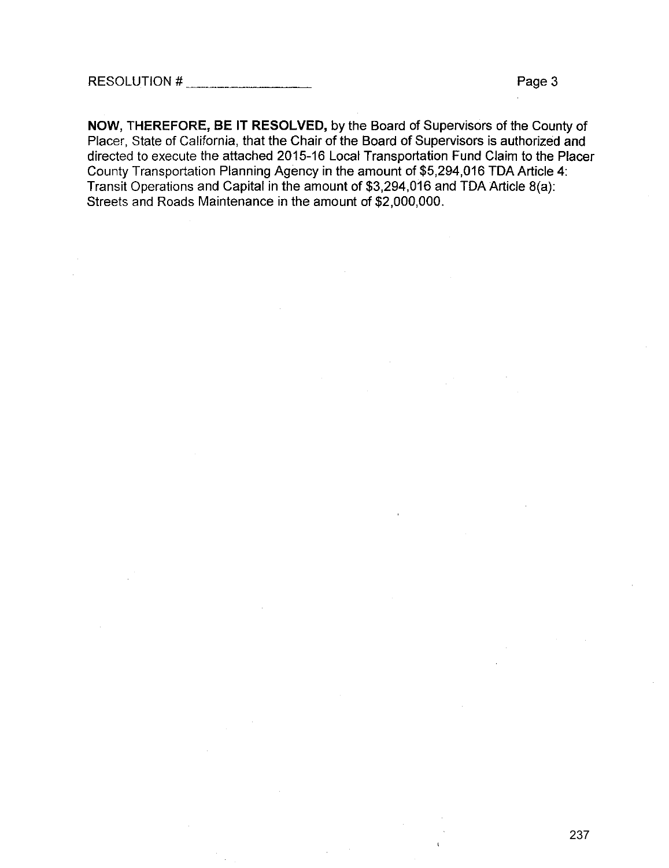**NOW, THEREFORE, BE IT RESOLVED,** by the Board of Supervisors of the County of Placer, State of California, that the Chair of the Board of Supervisors is authorized and directed to execute the attached 2015-16 Local Transportation Fund Claim to the Placer County Transportation Planning Agency in the amount of \$5,294,016 TDA Article 4: Transit Operations and Capital in the amount of \$3,294,016 and TDA Article B(a): Streets and Roads Maintenance in the amount of \$2,000,000.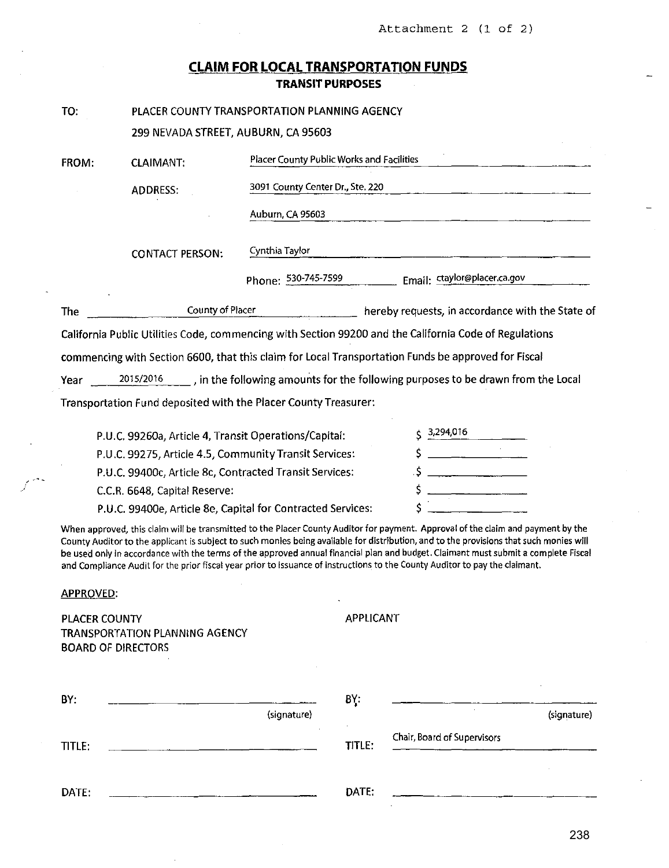# **CLAIM FOR LOCAL TRANSPORTATION FUNDS TRANSIT PURPOSES**

| TO:                                        | PLACER COUNTY TRANSPORTATION PLANNING AGENCY                                                                          |                                                                               |                  |                                                                                                                                                                                                                                                                                                                                                                                                                                                                                                                                                  |
|--------------------------------------------|-----------------------------------------------------------------------------------------------------------------------|-------------------------------------------------------------------------------|------------------|--------------------------------------------------------------------------------------------------------------------------------------------------------------------------------------------------------------------------------------------------------------------------------------------------------------------------------------------------------------------------------------------------------------------------------------------------------------------------------------------------------------------------------------------------|
|                                            | 299 NEVADA STREET, AUBURN, CA 95603                                                                                   |                                                                               |                  |                                                                                                                                                                                                                                                                                                                                                                                                                                                                                                                                                  |
| FROM:                                      | <b>CLAIMANT:</b>                                                                                                      | Placer County Public Works and Facilities<br>3091 County Center Dr., Ste. 220 |                  |                                                                                                                                                                                                                                                                                                                                                                                                                                                                                                                                                  |
|                                            | ADDRESS:                                                                                                              |                                                                               |                  |                                                                                                                                                                                                                                                                                                                                                                                                                                                                                                                                                  |
|                                            |                                                                                                                       | Auburn, CA 95603                                                              |                  |                                                                                                                                                                                                                                                                                                                                                                                                                                                                                                                                                  |
|                                            | <b>CONTACT PERSON:</b>                                                                                                | Cynthia Taylor                                                                |                  |                                                                                                                                                                                                                                                                                                                                                                                                                                                                                                                                                  |
|                                            |                                                                                                                       | Phone: 530-745-7599                                                           |                  | Email: ctaylor@placer.ca.gov                                                                                                                                                                                                                                                                                                                                                                                                                                                                                                                     |
| The                                        | <b>County of Placer</b>                                                                                               |                                                                               |                  | hereby requests, in accordance with the State of                                                                                                                                                                                                                                                                                                                                                                                                                                                                                                 |
|                                            |                                                                                                                       |                                                                               |                  | California Public Utilities Code, commencing with Section 99200 and the California Code of Regulations                                                                                                                                                                                                                                                                                                                                                                                                                                           |
|                                            |                                                                                                                       |                                                                               |                  | commencing with Section 6600, that this claim for Local Transportation Funds be approved for Fiscal                                                                                                                                                                                                                                                                                                                                                                                                                                              |
| Year                                       |                                                                                                                       |                                                                               |                  | 2015/2016 , in the following amounts for the following purposes to be drawn from the Local                                                                                                                                                                                                                                                                                                                                                                                                                                                       |
|                                            | Transportation Fund deposited with the Placer County Treasurer:                                                       |                                                                               |                  |                                                                                                                                                                                                                                                                                                                                                                                                                                                                                                                                                  |
|                                            |                                                                                                                       |                                                                               |                  |                                                                                                                                                                                                                                                                                                                                                                                                                                                                                                                                                  |
|                                            | P.U.C. 99260a, Article 4, Transit Operations/Capital:                                                                 |                                                                               |                  | 3,294,016                                                                                                                                                                                                                                                                                                                                                                                                                                                                                                                                        |
|                                            | P.U.C. 99275, Article 4.5, Community Transit Services:                                                                |                                                                               |                  |                                                                                                                                                                                                                                                                                                                                                                                                                                                                                                                                                  |
|                                            | P.U.C. 99400c, Article 8c, Contracted Transit Services:                                                               |                                                                               |                  |                                                                                                                                                                                                                                                                                                                                                                                                                                                                                                                                                  |
|                                            | C.C.R. 6648, Capital Reserve:                                                                                         |                                                                               |                  |                                                                                                                                                                                                                                                                                                                                                                                                                                                                                                                                                  |
|                                            | P.U.C. 99400e, Article 8e, Capital for Contracted Services:                                                           |                                                                               |                  |                                                                                                                                                                                                                                                                                                                                                                                                                                                                                                                                                  |
|                                            |                                                                                                                       |                                                                               |                  | When approved, this claim will be transmitted to the Placer County Auditor for payment. Approval of the claim and payment by the<br>County Auditor to the applicant is subject to such monies being available for distribution, and to the provisions that such monies will<br>be used only in accordance with the terms of the approved annual financial plan and budget. Claimant must submit a complete Fiscal<br>and Compliance Audit for the prior fiscal year prior to issuance of instructions to the County Auditor to pay the claimant. |
| <b>APPROVED:</b>                           |                                                                                                                       |                                                                               |                  |                                                                                                                                                                                                                                                                                                                                                                                                                                                                                                                                                  |
| PLACER COUNTY<br><b>BOARD OF DIRECTORS</b> | <b>TRANSPORTATION PLANNING AGENCY</b>                                                                                 |                                                                               | <b>APPLICANT</b> |                                                                                                                                                                                                                                                                                                                                                                                                                                                                                                                                                  |
|                                            |                                                                                                                       |                                                                               |                  |                                                                                                                                                                                                                                                                                                                                                                                                                                                                                                                                                  |
|                                            |                                                                                                                       |                                                                               |                  |                                                                                                                                                                                                                                                                                                                                                                                                                                                                                                                                                  |
| BY:                                        |                                                                                                                       | (signature)                                                                   | BY:              | (signature)                                                                                                                                                                                                                                                                                                                                                                                                                                                                                                                                      |
| TITLE:                                     | <u> 1980 - Jan Salam Barat, masjid a shekara ta 1980 - An tsara tsara tsara tsara tsara tsara tsara tsara tsara t</u> |                                                                               | TITLE:           | Chair, Board of Supervisors                                                                                                                                                                                                                                                                                                                                                                                                                                                                                                                      |
|                                            |                                                                                                                       |                                                                               |                  |                                                                                                                                                                                                                                                                                                                                                                                                                                                                                                                                                  |
| DATE:                                      |                                                                                                                       |                                                                               | DATE:            |                                                                                                                                                                                                                                                                                                                                                                                                                                                                                                                                                  |

... '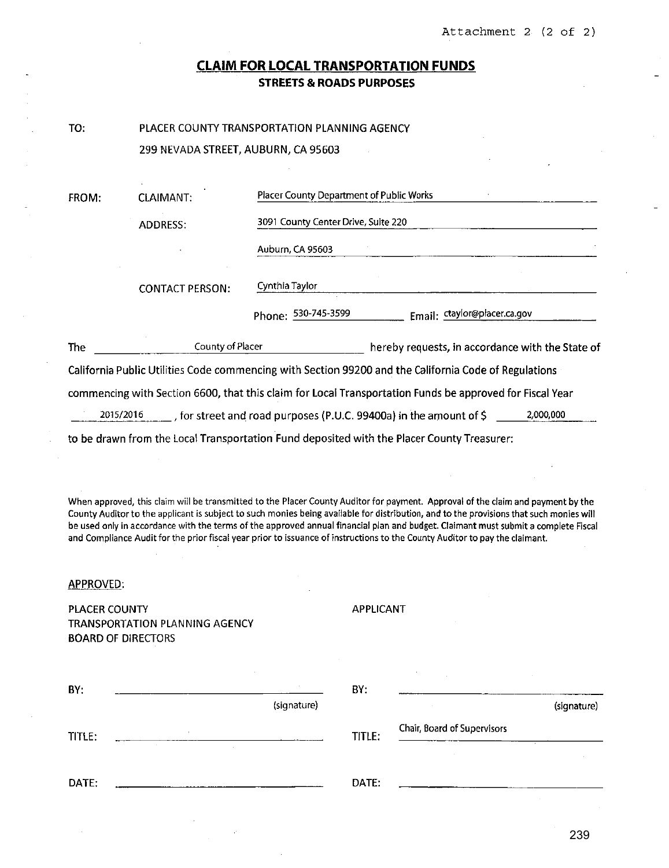## **CLAIM FOR LOCAL TRANSPORTATION FUNDS STREETS & ROADS PURPOSES**

| I<br>۰, | ۰. |  |
|---------|----|--|

## PLACER COUNTY TRANSPORTATION PLANNING AGENCY

299 NEVADA STREET, AUBURN, CA 95603

| FROM:      | <b>CLAIMANT:</b>       | Placer County Department of Public Works                                                                 |  |  |
|------------|------------------------|----------------------------------------------------------------------------------------------------------|--|--|
|            | ADDRESS:               | 3091 County Center Drive, Suite 220                                                                      |  |  |
|            |                        | Auburn, CA 95603                                                                                         |  |  |
|            | <b>CONTACT PERSON:</b> | Cynthia Taylor                                                                                           |  |  |
|            |                        | Email: ctaylor@placer.ca.gov<br>Phone: 530-745-3599                                                      |  |  |
| <b>The</b> | County of Placer       | hereby requests, in accordance with the State of                                                         |  |  |
|            |                        | California Public Utilities Code commencing with Section 99200 and the California Code of Regulations    |  |  |
|            |                        | commencing with Section 6600, that this claim for Local Transportation Funds be approved for Fiscal Year |  |  |
|            | 2015/2016              | tor street and road purposes (P.U.C. 99400a) in the amount of \$<br>2,000,000                            |  |  |
|            |                        | to be drawn from the Local Transportation Fund deposited with the Placer County Treasurer:               |  |  |

**When approved, this claim will be transmitted to the Placer County Auditor for payment. Approval of the claim and payment by the County Auditor to the applicant is subject to such monies being available for distribution, and to the provisions that such monies will be used only In accordance with the terms of the approved annual financial plan and budget. Claimant must submit a complete Fiscal**  and Compliance Audit for the prior fiscal year prior to issuance of instructions to the County Auditor to pay the claimant.

### APPROVED:

PLACER COUNTY TRANSPORTATION PLANNING AGENCY BOARD OF DIRECTORS

APPLICANT

| BY.    | $\sim$<br>$\sim$          | BY:    | $\sim$                      | $\sim$      |
|--------|---------------------------|--------|-----------------------------|-------------|
|        | (signature)               |        |                             | (signature) |
| TITLE: |                           | TITLE: | Chair, Board of Supervisors |             |
|        | <b>State</b><br>$\sim 10$ |        |                             |             |
| DATE:  |                           | DATE:  |                             |             |